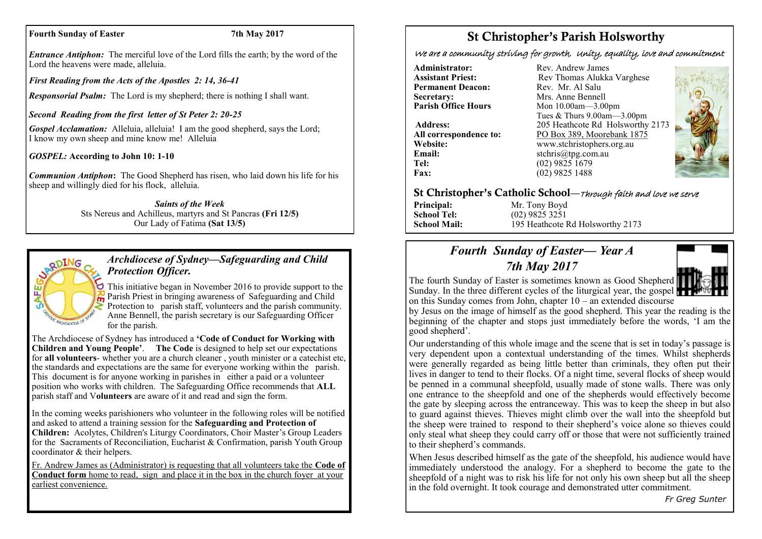#### **Fourth Sunday of Easter 7th May 2017**

*Entrance Antiphon:* The merciful love of the Lord fills the earth; by the word of the Lord the heavens were made, alleluia.

*First Reading from the Acts of the Apostles 2: 14, 36-41*

*Responsorial Psalm:* The Lord is my shepherd; there is nothing I shall want.

*Second Reading from the first letter of St Peter 2: 20-25*

*Gospel Acclamation:* Alleluia, alleluia! I am the good shepherd, says the Lord; I know my own sheep and mine know me! Alleluia

*GOSPEL:* **According to John 10: 1-10**

*Communion Antiphon***:** The Good Shepherd has risen, who laid down his life for his sheep and willingly died for his flock, alleluia.

> *Saints of the Week* Sts Nereus and Achilleus, martyrs and St Pancras **(Fri 12/5)**  Our Lady of Fatima **(Sat 13/5)**



# *Archdiocese of Sydney—Safeguarding and Child Protection Officer.*

This initiative began in November 2016 to provide support to the Parish Priest in bringing awareness of Safeguarding and Child Protection to parish staff, volunteers and the parish community. Anne Bennell, the parish secretary is our Safeguarding Officer for the parish.

The Archdiocese of Sydney has introduced a **'Code of Conduct for Working with Children and Young People'**. **The Code** is designed to help set our expectations for **all volunteers**- whether you are a church cleaner , youth minister or a catechist etc, the standards and expectations are the same for everyone working within the parish. This document is for anyone working in parishes in either a paid or a volunteer position who works with children. The Safeguarding Office recommends that **ALL**  parish staff and V**olunteers** are aware of it and read and sign the form.

In the coming weeks parishioners who volunteer in the following roles will be notified and asked to attend a training session for the **Safeguarding and Protection of Children:** Acolytes, Children's Liturgy Coordinators, Choir Master's Group Leaders for the Sacraments of Reconciliation, Eucharist & Confirmation, parish Youth Group coordinator & their helpers.

Fr. Andrew James as (Administrator) is requesting that all volunteers take the **Code of Conduct form** home to read, sign and place it in the box in the church foyer at your earliest convenience.

# St Christopher's Parish Holsworthy

We are a community striving for growth, Unity, equality, love and commitment

**Administrator:** Rev. Andrew James<br> **Assistant Priest:** Rev Thomas Alukka **Permanent Deacon:**<br>Secretary: **Secretary:** Mrs. Anne Bennell<br> **Parish Office Hours** Mon 10.00am - 3.00

**Email:** stchris@tpg.com.au<br> **Tel:** (02) 9825 1679 **Fax:** (02) 9825 1488

Rev Thomas Alukka Varghese<br>Rev. Mr. Al Salu **Mon 10.00am—3.00pm** Tues & Thurs 9.00am—3.00pm **Address:** 205 Heathcote Rd Holsworthy 2173 **All correspondence to:** PO Box 389, Moorebank 1875 **Website:** www.stchristophers.org.au<br> **Email:** stchris@tng.com au **Tel:** (02) 9825 1679



# St Christopher's Catholic School—Through faith and love we serve

**Principal:** Mr. Tony Boyd<br> **School Tel:** (02) 9825 3251 **School Tel:** (02) 9825 3251 **School Mail:** 195 Heathcote Rd Holsworthy 2173

# *Fourth Sunday of Easter— Year A 7th May 2017*



by Jesus on the image of himself as the good shepherd. This year the reading is the beginning of the chapter and stops just immediately before the words, 'I am the good shepherd'.

Our understanding of this whole image and the scene that is set in today's passage is very dependent upon a contextual understanding of the times. Whilst shepherds were generally regarded as being little better than criminals, they often put their lives in danger to tend to their flocks. Of a night time, several flocks of sheep would be penned in a communal sheepfold, usually made of stone walls. There was only one entrance to the sheepfold and one of the shepherds would effectively become the gate by sleeping across the entranceway. This was to keep the sheep in but also to guard against thieves. Thieves might climb over the wall into the sheepfold but the sheep were trained to respond to their shepherd's voice alone so thieves could only steal what sheep they could carry off or those that were not sufficiently trained to their shepherd's commands.

When Jesus described himself as the gate of the sheepfold, his audience would have immediately understood the analogy. For a shepherd to become the gate to the sheepfold of a night was to risk his life for not only his own sheep but all the sheep in the fold overnight. It took courage and demonstrated utter commitment.

*Fr Greg Sunter*